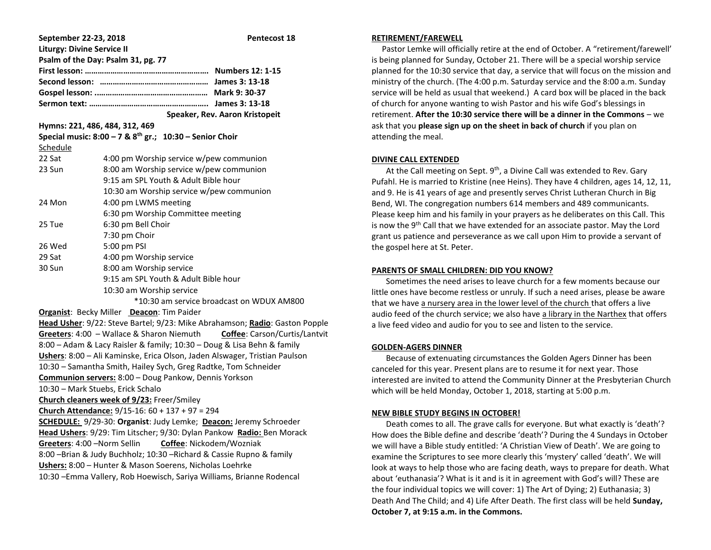| September 22-23, 2018                                                       |                                          | Pentecost 18 |
|-----------------------------------------------------------------------------|------------------------------------------|--------------|
| <b>Liturgy: Divine Service II</b>                                           |                                          |              |
| Psalm of the Day: Psalm 31, pg. 77                                          |                                          |              |
|                                                                             |                                          |              |
|                                                                             |                                          |              |
|                                                                             |                                          |              |
|                                                                             |                                          |              |
| Speaker, Rev. Aaron Kristopeit                                              |                                          |              |
| Hymns: 221, 486, 484, 312, 469                                              |                                          |              |
| Special music: $8:00 - 7$ & $8th$ gr.; 10:30 - Senior Choir                 |                                          |              |
| Schedule                                                                    |                                          |              |
| 22 Sat                                                                      | 4:00 pm Worship service w/pew communion  |              |
| 23 Sun                                                                      | 8:00 am Worship service w/pew communion  |              |
|                                                                             | 9:15 am SPL Youth & Adult Bible hour     |              |
|                                                                             | 10:30 am Worship service w/pew communion |              |
| 24 Mon                                                                      | 4:00 pm LWMS meeting                     |              |
|                                                                             | 6:30 pm Worship Committee meeting        |              |
| 25 Tue                                                                      | 6:30 pm Bell Choir                       |              |
|                                                                             | 7:30 pm Choir                            |              |
| 26 Wed                                                                      | 5:00 pm PSI                              |              |
| 29 Sat                                                                      | 4:00 pm Worship service                  |              |
| 30 Sun                                                                      | 8:00 am Worship service                  |              |
|                                                                             | 9:15 am SPL Youth & Adult Bible hour     |              |
|                                                                             | 10:30 am Worship service                 |              |
| *10:30 am service broadcast on WDUX AM800                                   |                                          |              |
| Organist: Becky Miller Deacon: Tim Paider                                   |                                          |              |
| Head Usher: 9/22: Steve Bartel; 9/23: Mike Abrahamson; Radio: Gaston Popple |                                          |              |
| Greeters: 4:00 - Wallace & Sharon Niemuth<br>Coffee: Carson/Curtis/Lantvit  |                                          |              |
| 8:00 - Adam & Lacy Raisler & family; 10:30 - Doug & Lisa Behn & family      |                                          |              |
| Ushers: 8:00 - Ali Kaminske, Erica Olson, Jaden Alswager, Tristian Paulson  |                                          |              |
| 10:30 - Samantha Smith, Hailey Sych, Greg Radtke, Tom Schneider             |                                          |              |
| Communion servers: 8:00 - Doug Pankow, Dennis Yorkson                       |                                          |              |
| 10:30 - Mark Stuebs, Erick Schalo                                           |                                          |              |
| Church cleaners week of 9/23: Freer/Smiley                                  |                                          |              |
| Church Attendance: 9/15-16: 60 + 137 + 97 = 294                             |                                          |              |
| SCHEDULE: 9/29-30: Organist: Judy Lemke; Deacon: Jeremy Schroeder           |                                          |              |
| Head Ushers: 9/29: Tim Litscher; 9/30: Dylan Pankow Radio: Ben Morack       |                                          |              |
| Greeters: 4:00 -Norm Sellin<br>Coffee: Nickodem/Wozniak                     |                                          |              |
| 8:00 - Brian & Judy Buchholz; 10:30 - Richard & Cassie Rupno & family       |                                          |              |
| Ushers: 8:00 - Hunter & Mason Soerens, Nicholas Loehrke                     |                                          |              |
| 10:30 - Emma Vallery, Rob Hoewisch, Sariya Williams, Brianne Rodencal       |                                          |              |
|                                                                             |                                          |              |

#### **RETIREMENT/FAREWELL**

 Pastor Lemke will officially retire at the end of October. A "retirement/farewell' is being planned for Sunday, October 21. There will be a special worship service planned for the 10:30 service that day, a service that will focus on the mission and ministry of the church. (The 4:00 p.m. Saturday service and the 8:00 a.m. Sunday service will be held as usual that weekend.) A card box will be placed in the back of church for anyone wanting to wish Pastor and his wife God's blessings in retirement. **After the 10:30 service there will be a dinner in the Commons** – we ask that you **please sign up on the sheet in back of church** if you plan on attending the meal.

### **DIVINE CALL EXTENDED**

At the Call meeting on Sept.  $9<sup>th</sup>$ , a Divine Call was extended to Rev. Gary Pufahl. He is married to Kristine (nee Heins). They have 4 children, ages 14, 12, 11, and 9. He is 41 years of age and presently serves Christ Lutheran Church in Big Bend, WI. The congregation numbers 614 members and 489 communicants. Please keep him and his family in your prayers as he deliberates on this Call. This is now the  $9<sup>th</sup>$  Call that we have extended for an associate pastor. May the Lord grant us patience and perseverance as we call upon Him to provide a servant of the gospel here at St. Peter.

### **PARENTS OF SMALL CHILDREN: DID YOU KNOW?**

 Sometimes the need arises to leave church for a few moments because our little ones have become restless or unruly. If such a need arises, please be aware that we have a nursery area in the lower level of the church that offers a live audio feed of the church service; we also have a library in the Narthex that offers a live feed video and audio for you to see and listen to the service.

# **GOLDEN-AGERS DINNER**

 Because of extenuating circumstances the Golden Agers Dinner has been canceled for this year. Present plans are to resume it for next year. Those interested are invited to attend the Community Dinner at the Presbyterian Church which will be held Monday, October 1, 2018, starting at 5:00 p.m.

# **NEW BIBLE STUDY BEGINS IN OCTOBER!**

 Death comes to all. The grave calls for everyone. But what exactly is 'death'? How does the Bible define and describe 'death'? During the 4 Sundays in October we will have a Bible study entitled: 'A Christian View of Death'. We are going to examine the Scriptures to see more clearly this 'mystery' called 'death'. We will look at ways to help those who are facing death, ways to prepare for death. What about 'euthanasia'? What is it and is it in agreement with God's will? These are the four individual topics we will cover: 1) The Art of Dying; 2) Euthanasia; 3) Death And The Child; and 4) Life After Death. The first class will be held **Sunday, October 7, at 9:15 a.m. in the Commons.**